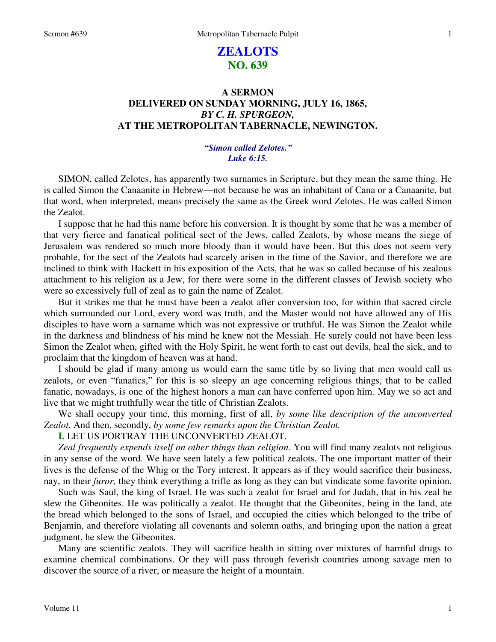# **ZEALOTS NO. 639**

## **A SERMON DELIVERED ON SUNDAY MORNING, JULY 16, 1865,**  *BY C. H. SPURGEON,*  **AT THE METROPOLITAN TABERNACLE, NEWINGTON.**

## *"Simon called Zelotes." Luke 6:15.*

SIMON, called Zelotes, has apparently two surnames in Scripture, but they mean the same thing. He is called Simon the Canaanite in Hebrew—not because he was an inhabitant of Cana or a Canaanite, but that word, when interpreted, means precisely the same as the Greek word Zelotes. He was called Simon the Zealot.

 I suppose that he had this name before his conversion. It is thought by some that he was a member of that very fierce and fanatical political sect of the Jews, called Zealots, by whose means the siege of Jerusalem was rendered so much more bloody than it would have been. But this does not seem very probable, for the sect of the Zealots had scarcely arisen in the time of the Savior, and therefore we are inclined to think with Hackett in his exposition of the Acts, that he was so called because of his zealous attachment to his religion as a Jew, for there were some in the different classes of Jewish society who were so excessively full of zeal as to gain the name of Zealot.

 But it strikes me that he must have been a zealot after conversion too, for within that sacred circle which surrounded our Lord, every word was truth, and the Master would not have allowed any of His disciples to have worn a surname which was not expressive or truthful. He was Simon the Zealot while in the darkness and blindness of his mind he knew not the Messiah. He surely could not have been less Simon the Zealot when, gifted with the Holy Spirit, he went forth to cast out devils, heal the sick, and to proclaim that the kingdom of heaven was at hand.

I should be glad if many among us would earn the same title by so living that men would call us zealots, or even "fanatics," for this is so sleepy an age concerning religious things, that to be called fanatic, nowadays, is one of the highest honors a man can have conferred upon him. May we so act and live that we might truthfully wear the title of Christian Zealots.

 We shall occupy your time, this morning, first of all, *by some like description of the unconverted Zealot.* And then, secondly, *by some few remarks upon the Christian Zealot.*

**I.** LET US PORTRAY THE UNCONVERTED ZEALOT.

*Zeal frequently expends itself on other things than religion.* You will find many zealots not religious in any sense of the word. We have seen lately a few political zealots. The one important matter of their lives is the defense of the Whig or the Tory interest. It appears as if they would sacrifice their business, nay, in their *furor,* they think everything a trifle as long as they can but vindicate some favorite opinion.

 Such was Saul, the king of Israel. He was such a zealot for Israel and for Judah, that in his zeal he slew the Gibeonites. He was politically a zealot. He thought that the Gibeonites, being in the land, ate the bread which belonged to the sons of Israel, and occupied the cities which belonged to the tribe of Benjamin, and therefore violating all covenants and solemn oaths, and bringing upon the nation a great judgment, he slew the Gibeonites.

 Many are scientific zealots. They will sacrifice health in sitting over mixtures of harmful drugs to examine chemical combinations. Or they will pass through feverish countries among savage men to discover the source of a river, or measure the height of a mountain.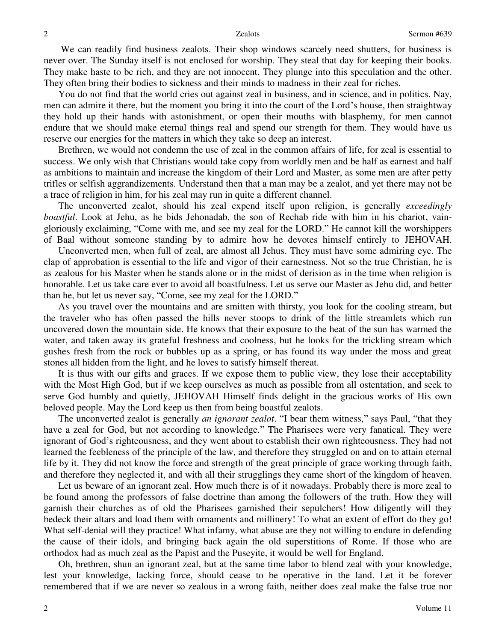We can readily find business zealots. Their shop windows scarcely need shutters, for business is never over. The Sunday itself is not enclosed for worship. They steal that day for keeping their books. They make haste to be rich, and they are not innocent. They plunge into this speculation and the other. They often bring their bodies to sickness and their minds to madness in their zeal for riches.

 You do not find that the world cries out against zeal in business, and in science, and in politics. Nay, men can admire it there, but the moment you bring it into the court of the Lord's house, then straightway they hold up their hands with astonishment, or open their mouths with blasphemy, for men cannot endure that we should make eternal things real and spend our strength for them. They would have us reserve our energies for the matters in which they take so deep an interest.

 Brethren, we would not condemn the use of zeal in the common affairs of life, for zeal is essential to success. We only wish that Christians would take copy from worldly men and be half as earnest and half as ambitions to maintain and increase the kingdom of their Lord and Master, as some men are after petty trifles or selfish aggrandizements. Understand then that a man may be a zealot, and yet there may not be a trace of religion in him, for his zeal may run in quite a different channel.

 The unconverted zealot, should his zeal expend itself upon religion, is generally *exceedingly boastful*. Look at Jehu, as he bids Jehonadab, the son of Rechab ride with him in his chariot, vaingloriously exclaiming, "Come with me, and see my zeal for the LORD." He cannot kill the worshippers of Baal without someone standing by to admire how he devotes himself entirely to JEHOVAH.

 Unconverted men, when full of zeal, are almost all Jehus. They must have some admiring eye. The clap of approbation is essential to the life and vigor of their earnestness. Not so the true Christian, he is as zealous for his Master when he stands alone or in the midst of derision as in the time when religion is honorable. Let us take care ever to avoid all boastfulness. Let us serve our Master as Jehu did, and better than he, but let us never say, "Come, see my zeal for the LORD."

 As you travel over the mountains and are smitten with thirsty, you look for the cooling stream, but the traveler who has often passed the hills never stoops to drink of the little streamlets which run uncovered down the mountain side. He knows that their exposure to the heat of the sun has warmed the water, and taken away its grateful freshness and coolness, but he looks for the trickling stream which gushes fresh from the rock or bubbles up as a spring, or has found its way under the moss and great stones all hidden from the light, and he loves to satisfy himself thereat.

 It is thus with our gifts and graces. If we expose them to public view, they lose their acceptability with the Most High God, but if we keep ourselves as much as possible from all ostentation, and seek to serve God humbly and quietly, JEHOVAH Himself finds delight in the gracious works of His own beloved people. May the Lord keep us then from being boastful zealots.

 The unconverted zealot is generally *an ignorant zealot*. "I bear them witness," says Paul, "that they have a zeal for God, but not according to knowledge." The Pharisees were very fanatical. They were ignorant of God's righteousness, and they went about to establish their own righteousness. They had not learned the feebleness of the principle of the law, and therefore they struggled on and on to attain eternal life by it. They did not know the force and strength of the great principle of grace working through faith, and therefore they neglected it, and with all their strugglings they came short of the kingdom of heaven.

 Let us beware of an ignorant zeal. How much there is of it nowadays. Probably there is more zeal to be found among the professors of false doctrine than among the followers of the truth. How they will garnish their churches as of old the Pharisees garnished their sepulchers! How diligently will they bedeck their altars and load them with ornaments and millinery! To what an extent of effort do they go! What self-denial will they practice! What infamy, what abuse are they not willing to endure in defending the cause of their idols, and bringing back again the old superstitions of Rome. If those who are orthodox had as much zeal as the Papist and the Puseyite, it would be well for England.

 Oh, brethren, shun an ignorant zeal, but at the same time labor to blend zeal with your knowledge, lest your knowledge, lacking force, should cease to be operative in the land. Let it be forever remembered that if we are never so zealous in a wrong faith, neither does zeal make the false true nor

2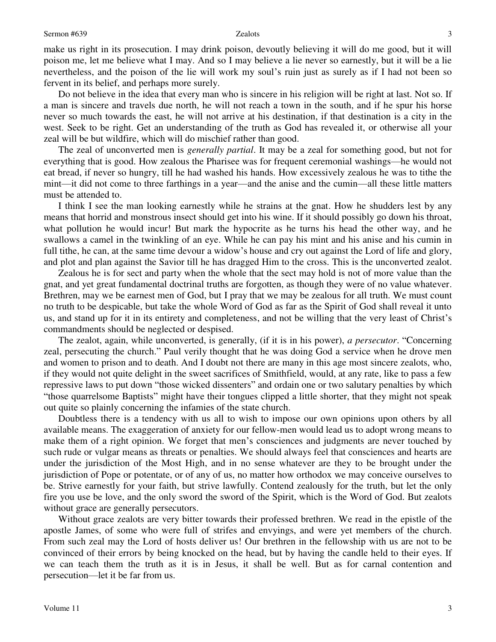### Sermon #639 Zealots

make us right in its prosecution. I may drink poison, devoutly believing it will do me good, but it will poison me, let me believe what I may. And so I may believe a lie never so earnestly, but it will be a lie nevertheless, and the poison of the lie will work my soul's ruin just as surely as if I had not been so fervent in its belief, and perhaps more surely.

 Do not believe in the idea that every man who is sincere in his religion will be right at last. Not so. If a man is sincere and travels due north, he will not reach a town in the south, and if he spur his horse never so much towards the east, he will not arrive at his destination, if that destination is a city in the west. Seek to be right. Get an understanding of the truth as God has revealed it, or otherwise all your zeal will be but wildfire, which will do mischief rather than good.

 The zeal of unconverted men is *generally partial*. It may be a zeal for something good, but not for everything that is good. How zealous the Pharisee was for frequent ceremonial washings—he would not eat bread, if never so hungry, till he had washed his hands. How excessively zealous he was to tithe the mint—it did not come to three farthings in a year—and the anise and the cumin—all these little matters must be attended to.

 I think I see the man looking earnestly while he strains at the gnat. How he shudders lest by any means that horrid and monstrous insect should get into his wine. If it should possibly go down his throat, what pollution he would incur! But mark the hypocrite as he turns his head the other way, and he swallows a camel in the twinkling of an eye. While he can pay his mint and his anise and his cumin in full tithe, he can, at the same time devour a widow's house and cry out against the Lord of life and glory, and plot and plan against the Savior till he has dragged Him to the cross. This is the unconverted zealot.

 Zealous he is for sect and party when the whole that the sect may hold is not of more value than the gnat, and yet great fundamental doctrinal truths are forgotten, as though they were of no value whatever. Brethren, may we be earnest men of God, but I pray that we may be zealous for all truth. We must count no truth to be despicable, but take the whole Word of God as far as the Spirit of God shall reveal it unto us, and stand up for it in its entirety and completeness, and not be willing that the very least of Christ's commandments should be neglected or despised.

 The zealot, again, while unconverted, is generally, (if it is in his power), *a persecutor*. "Concerning zeal, persecuting the church." Paul verily thought that he was doing God a service when he drove men and women to prison and to death. And I doubt not there are many in this age most sincere zealots, who, if they would not quite delight in the sweet sacrifices of Smithfield, would, at any rate, like to pass a few repressive laws to put down "those wicked dissenters" and ordain one or two salutary penalties by which "those quarrelsome Baptists" might have their tongues clipped a little shorter, that they might not speak out quite so plainly concerning the infamies of the state church.

 Doubtless there is a tendency with us all to wish to impose our own opinions upon others by all available means. The exaggeration of anxiety for our fellow-men would lead us to adopt wrong means to make them of a right opinion. We forget that men's consciences and judgments are never touched by such rude or vulgar means as threats or penalties. We should always feel that consciences and hearts are under the jurisdiction of the Most High, and in no sense whatever are they to be brought under the jurisdiction of Pope or potentate, or of any of us, no matter how orthodox we may conceive ourselves to be. Strive earnestly for your faith, but strive lawfully. Contend zealously for the truth, but let the only fire you use be love, and the only sword the sword of the Spirit, which is the Word of God. But zealots without grace are generally persecutors.

 Without grace zealots are very bitter towards their professed brethren. We read in the epistle of the apostle James, of some who were full of strifes and envyings, and were yet members of the church. From such zeal may the Lord of hosts deliver us! Our brethren in the fellowship with us are not to be convinced of their errors by being knocked on the head, but by having the candle held to their eyes. If we can teach them the truth as it is in Jesus, it shall be well. But as for carnal contention and persecution—let it be far from us.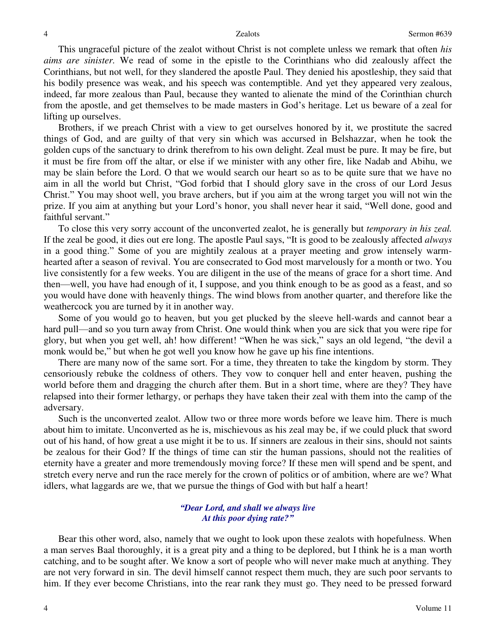This ungraceful picture of the zealot without Christ is not complete unless we remark that often *his aims are sinister.* We read of some in the epistle to the Corinthians who did zealously affect the Corinthians, but not well, for they slandered the apostle Paul. They denied his apostleship, they said that his bodily presence was weak, and his speech was contemptible. And yet they appeared very zealous, indeed, far more zealous than Paul, because they wanted to alienate the mind of the Corinthian church from the apostle, and get themselves to be made masters in God's heritage. Let us beware of a zeal for lifting up ourselves.

 Brothers, if we preach Christ with a view to get ourselves honored by it, we prostitute the sacred things of God, and are guilty of that very sin which was accursed in Belshazzar, when he took the golden cups of the sanctuary to drink therefrom to his own delight. Zeal must be pure. It may be fire, but it must be fire from off the altar, or else if we minister with any other fire, like Nadab and Abihu, we may be slain before the Lord. O that we would search our heart so as to be quite sure that we have no aim in all the world but Christ, "God forbid that I should glory save in the cross of our Lord Jesus Christ." You may shoot well, you brave archers, but if you aim at the wrong target you will not win the prize. If you aim at anything but your Lord's honor, you shall never hear it said, "Well done, good and faithful servant."

 To close this very sorry account of the unconverted zealot, he is generally but *temporary in his zeal.* If the zeal be good, it dies out ere long. The apostle Paul says, "It is good to be zealously affected *always* in a good thing." Some of you are mightily zealous at a prayer meeting and grow intensely warmhearted after a season of revival. You are consecrated to God most marvelously for a month or two. You live consistently for a few weeks. You are diligent in the use of the means of grace for a short time. And then—well, you have had enough of it, I suppose, and you think enough to be as good as a feast, and so you would have done with heavenly things. The wind blows from another quarter, and therefore like the weathercock you are turned by it in another way.

 Some of you would go to heaven, but you get plucked by the sleeve hell-wards and cannot bear a hard pull—and so you turn away from Christ. One would think when you are sick that you were ripe for glory, but when you get well, ah! how different! "When he was sick," says an old legend, "the devil a monk would be," but when he got well you know how he gave up his fine intentions.

 There are many now of the same sort. For a time, they threaten to take the kingdom by storm. They censoriously rebuke the coldness of others. They vow to conquer hell and enter heaven, pushing the world before them and dragging the church after them. But in a short time, where are they? They have relapsed into their former lethargy, or perhaps they have taken their zeal with them into the camp of the adversary.

 Such is the unconverted zealot. Allow two or three more words before we leave him. There is much about him to imitate. Unconverted as he is, mischievous as his zeal may be, if we could pluck that sword out of his hand, of how great a use might it be to us. If sinners are zealous in their sins, should not saints be zealous for their God? If the things of time can stir the human passions, should not the realities of eternity have a greater and more tremendously moving force? If these men will spend and be spent, and stretch every nerve and run the race merely for the crown of politics or of ambition, where are we? What idlers, what laggards are we, that we pursue the things of God with but half a heart!

## *"Dear Lord, and shall we always live At this poor dying rate?"*

Bear this other word, also, namely that we ought to look upon these zealots with hopefulness. When a man serves Baal thoroughly, it is a great pity and a thing to be deplored, but I think he is a man worth catching, and to be sought after. We know a sort of people who will never make much at anything. They are not very forward in sin. The devil himself cannot respect them much, they are such poor servants to him. If they ever become Christians, into the rear rank they must go. They need to be pressed forward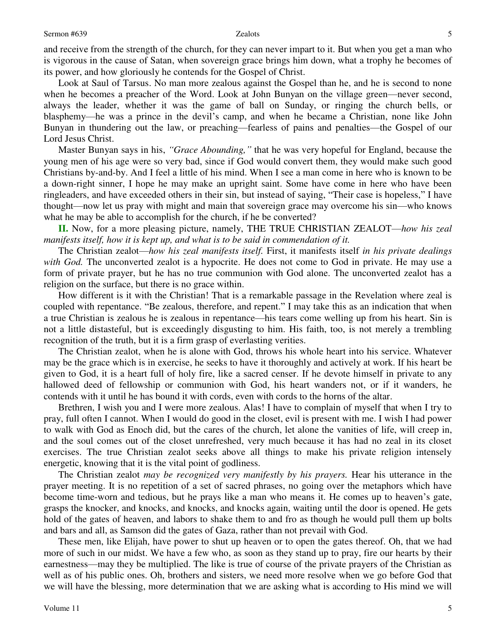and receive from the strength of the church, for they can never impart to it. But when you get a man who is vigorous in the cause of Satan, when sovereign grace brings him down, what a trophy he becomes of its power, and how gloriously he contends for the Gospel of Christ.

 Look at Saul of Tarsus. No man more zealous against the Gospel than he, and he is second to none when he becomes a preacher of the Word. Look at John Bunyan on the village green—never second, always the leader, whether it was the game of ball on Sunday, or ringing the church bells, or blasphemy—he was a prince in the devil's camp, and when he became a Christian, none like John Bunyan in thundering out the law, or preaching—fearless of pains and penalties—the Gospel of our Lord Jesus Christ.

 Master Bunyan says in his, *"Grace Abounding,"* that he was very hopeful for England, because the young men of his age were so very bad, since if God would convert them, they would make such good Christians by-and-by. And I feel a little of his mind. When I see a man come in here who is known to be a down-right sinner, I hope he may make an upright saint. Some have come in here who have been ringleaders, and have exceeded others in their sin, but instead of saying, "Their case is hopeless," I have thought—now let us pray with might and main that sovereign grace may overcome his sin—who knows what he may be able to accomplish for the church, if he be converted?

**II.** Now, for a more pleasing picture, namely, THE TRUE CHRISTIAN ZEALOT—*how his zeal manifests itself, how it is kept up, and what is to be said in commendation of it.*

 The Christian zealot—*how his zeal manifests itself.* First, it manifests itself *in his private dealings with God.* The unconverted zealot is a hypocrite. He does not come to God in private. He may use a form of private prayer, but he has no true communion with God alone. The unconverted zealot has a religion on the surface, but there is no grace within.

 How different is it with the Christian! That is a remarkable passage in the Revelation where zeal is coupled with repentance. "Be zealous, therefore, and repent." I may take this as an indication that when a true Christian is zealous he is zealous in repentance—his tears come welling up from his heart. Sin is not a little distasteful, but is exceedingly disgusting to him. His faith, too, is not merely a trembling recognition of the truth, but it is a firm grasp of everlasting verities.

 The Christian zealot, when he is alone with God, throws his whole heart into his service. Whatever may be the grace which is in exercise, he seeks to have it thoroughly and actively at work. If his heart be given to God, it is a heart full of holy fire, like a sacred censer. If he devote himself in private to any hallowed deed of fellowship or communion with God, his heart wanders not, or if it wanders, he contends with it until he has bound it with cords, even with cords to the horns of the altar.

Brethren, I wish you and I were more zealous. Alas! I have to complain of myself that when I try to pray, full often I cannot. When I would do good in the closet, evil is present with me. I wish I had power to walk with God as Enoch did, but the cares of the church, let alone the vanities of life, will creep in, and the soul comes out of the closet unrefreshed, very much because it has had no zeal in its closet exercises. The true Christian zealot seeks above all things to make his private religion intensely energetic, knowing that it is the vital point of godliness.

The Christian zealot *may be recognized very manifestly by his prayers.* Hear his utterance in the prayer meeting. It is no repetition of a set of sacred phrases, no going over the metaphors which have become time-worn and tedious, but he prays like a man who means it. He comes up to heaven's gate, grasps the knocker, and knocks, and knocks, and knocks again, waiting until the door is opened. He gets hold of the gates of heaven, and labors to shake them to and fro as though he would pull them up bolts and bars and all, as Samson did the gates of Gaza, rather than not prevail with God.

 These men, like Elijah, have power to shut up heaven or to open the gates thereof. Oh, that we had more of such in our midst. We have a few who, as soon as they stand up to pray, fire our hearts by their earnestness—may they be multiplied. The like is true of course of the private prayers of the Christian as well as of his public ones. Oh, brothers and sisters, we need more resolve when we go before God that we will have the blessing, more determination that we are asking what is according to His mind we will

5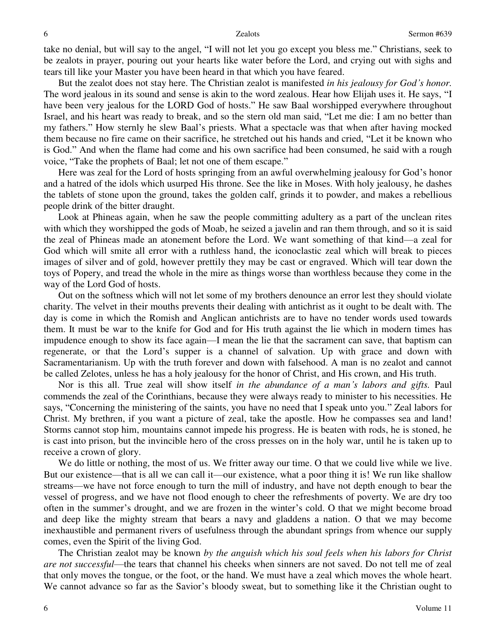take no denial, but will say to the angel, "I will not let you go except you bless me." Christians, seek to be zealots in prayer, pouring out your hearts like water before the Lord, and crying out with sighs and tears till like your Master you have been heard in that which you have feared.

 But the zealot does not stay here. The Christian zealot is manifested *in his jealousy for God's honor.* The word jealous in its sound and sense is akin to the word zealous. Hear how Elijah uses it. He says, "I have been very jealous for the LORD God of hosts." He saw Baal worshipped everywhere throughout Israel, and his heart was ready to break, and so the stern old man said, "Let me die: I am no better than my fathers." How sternly he slew Baal's priests. What a spectacle was that when after having mocked them because no fire came on their sacrifice, he stretched out his hands and cried, "Let it be known who is God." And when the flame had come and his own sacrifice had been consumed, he said with a rough voice, "Take the prophets of Baal; let not one of them escape."

 Here was zeal for the Lord of hosts springing from an awful overwhelming jealousy for God's honor and a hatred of the idols which usurped His throne. See the like in Moses. With holy jealousy, he dashes the tablets of stone upon the ground, takes the golden calf, grinds it to powder, and makes a rebellious people drink of the bitter draught.

 Look at Phineas again, when he saw the people committing adultery as a part of the unclean rites with which they worshipped the gods of Moab, he seized a javelin and ran them through, and so it is said the zeal of Phineas made an atonement before the Lord. We want something of that kind—a zeal for God which will smite all error with a ruthless hand, the iconoclastic zeal which will break to pieces images of silver and of gold, however prettily they may be cast or engraved. Which will tear down the toys of Popery, and tread the whole in the mire as things worse than worthless because they come in the way of the Lord God of hosts.

 Out on the softness which will not let some of my brothers denounce an error lest they should violate charity. The velvet in their mouths prevents their dealing with antichrist as it ought to be dealt with. The day is come in which the Romish and Anglican antichrists are to have no tender words used towards them. It must be war to the knife for God and for His truth against the lie which in modern times has impudence enough to show its face again—I mean the lie that the sacrament can save, that baptism can regenerate, or that the Lord's supper is a channel of salvation. Up with grace and down with Sacramentarianism. Up with the truth forever and down with falsehood. A man is no zealot and cannot be called Zelotes, unless he has a holy jealousy for the honor of Christ, and His crown, and His truth.

 Nor is this all. True zeal will show itself *in the abundance of a man's labors and gifts.* Paul commends the zeal of the Corinthians, because they were always ready to minister to his necessities. He says, "Concerning the ministering of the saints, you have no need that I speak unto you." Zeal labors for Christ. My brethren, if you want a picture of zeal, take the apostle. How he compasses sea and land! Storms cannot stop him, mountains cannot impede his progress. He is beaten with rods, he is stoned, he is cast into prison, but the invincible hero of the cross presses on in the holy war, until he is taken up to receive a crown of glory.

We do little or nothing, the most of us. We fritter away our time. O that we could live while we live. But our existence—that is all we can call it—our existence, what a poor thing it is! We run like shallow streams—we have not force enough to turn the mill of industry, and have not depth enough to bear the vessel of progress, and we have not flood enough to cheer the refreshments of poverty. We are dry too often in the summer's drought, and we are frozen in the winter's cold. O that we might become broad and deep like the mighty stream that bears a navy and gladdens a nation. O that we may become inexhaustible and permanent rivers of usefulness through the abundant springs from whence our supply comes, even the Spirit of the living God.

 The Christian zealot may be known *by the anguish which his soul feels when his labors for Christ are not successful*—the tears that channel his cheeks when sinners are not saved. Do not tell me of zeal that only moves the tongue, or the foot, or the hand. We must have a zeal which moves the whole heart. We cannot advance so far as the Savior's bloody sweat, but to something like it the Christian ought to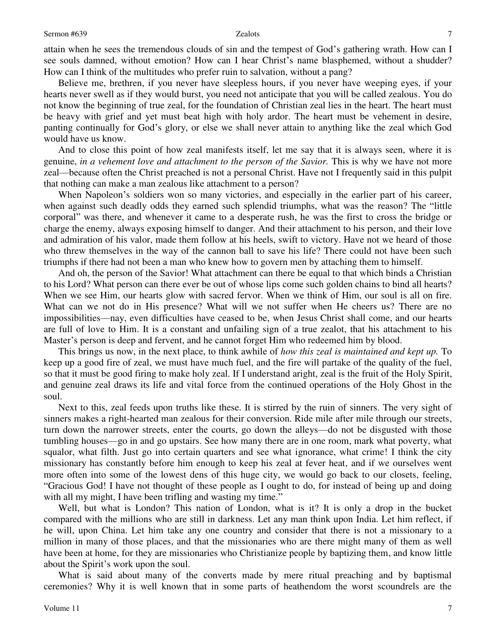attain when he sees the tremendous clouds of sin and the tempest of God's gathering wrath. How can I see souls damned, without emotion? How can I hear Christ's name blasphemed, without a shudder? How can I think of the multitudes who prefer ruin to salvation, without a pang?

 Believe me, brethren, if you never have sleepless hours, if you never have weeping eyes, if your hearts never swell as if they would burst, you need not anticipate that you will be called zealous. You do not know the beginning of true zeal, for the foundation of Christian zeal lies in the heart. The heart must be heavy with grief and yet must beat high with holy ardor. The heart must be vehement in desire, panting continually for God's glory, or else we shall never attain to anything like the zeal which God would have us know.

 And to close this point of how zeal manifests itself, let me say that it is always seen, where it is genuine, *in a vehement love and attachment to the person of the Savior.* This is why we have not more zeal—because often the Christ preached is not a personal Christ. Have not I frequently said in this pulpit that nothing can make a man zealous like attachment to a person?

 When Napoleon's soldiers won so many victories, and especially in the earlier part of his career, when against such deadly odds they earned such splendid triumphs, what was the reason? The "little corporal" was there, and whenever it came to a desperate rush, he was the first to cross the bridge or charge the enemy, always exposing himself to danger. And their attachment to his person, and their love and admiration of his valor, made them follow at his heels, swift to victory. Have not we heard of those who threw themselves in the way of the cannon ball to save his life? There could not have been such triumphs if there had not been a man who knew how to govern men by attaching them to himself.

 And oh, the person of the Savior! What attachment can there be equal to that which binds a Christian to his Lord? What person can there ever be out of whose lips come such golden chains to bind all hearts? When we see Him, our hearts glow with sacred fervor. When we think of Him, our soul is all on fire. What can we not do in His presence? What will we not suffer when He cheers us? There are no impossibilities—nay, even difficulties have ceased to be, when Jesus Christ shall come, and our hearts are full of love to Him. It is a constant and unfailing sign of a true zealot, that his attachment to his Master's person is deep and fervent, and he cannot forget Him who redeemed him by blood.

 This brings us now, in the next place, to think awhile of *how this zeal is maintained and kept up.* To keep up a good fire of zeal, we must have much fuel, and the fire will partake of the quality of the fuel, so that it must be good firing to make holy zeal. If I understand aright, zeal is the fruit of the Holy Spirit, and genuine zeal draws its life and vital force from the continued operations of the Holy Ghost in the soul.

 Next to this, zeal feeds upon truths like these. It is stirred by the ruin of sinners. The very sight of sinners makes a right-hearted man zealous for their conversion. Ride mile after mile through our streets, turn down the narrower streets, enter the courts, go down the alleys—do not be disgusted with those tumbling houses—go in and go upstairs. See how many there are in one room, mark what poverty, what squalor, what filth. Just go into certain quarters and see what ignorance, what crime! I think the city missionary has constantly before him enough to keep his zeal at fever heat, and if we ourselves went more often into some of the lowest dens of this huge city, we would go back to our closets, feeling, "Gracious God! I have not thought of these people as I ought to do, for instead of being up and doing with all my might, I have been trifling and wasting my time."

 Well, but what is London? This nation of London, what is it? It is only a drop in the bucket compared with the millions who are still in darkness. Let any man think upon India. Let him reflect, if he will, upon China. Let him take any one country and consider that there is not a missionary to a million in many of those places, and that the missionaries who are there might many of them as well have been at home, for they are missionaries who Christianize people by baptizing them, and know little about the Spirit's work upon the soul.

 What is said about many of the converts made by mere ritual preaching and by baptismal ceremonies? Why it is well known that in some parts of heathendom the worst scoundrels are the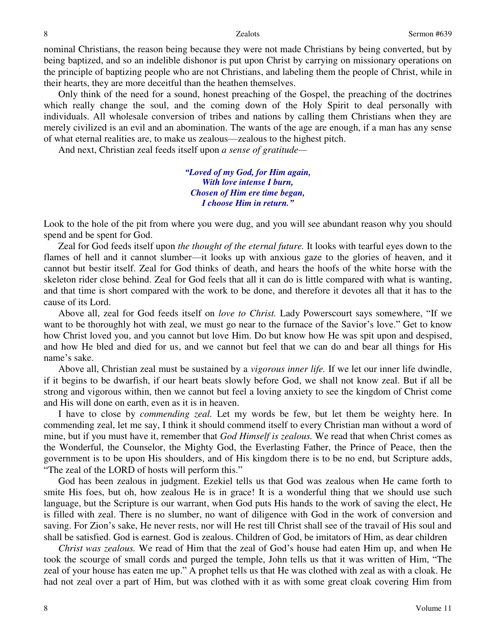nominal Christians, the reason being because they were not made Christians by being converted, but by being baptized, and so an indelible dishonor is put upon Christ by carrying on missionary operations on the principle of baptizing people who are not Christians, and labeling them the people of Christ, while in their hearts, they are more deceitful than the heathen themselves.

 Only think of the need for a sound, honest preaching of the Gospel, the preaching of the doctrines which really change the soul, and the coming down of the Holy Spirit to deal personally with individuals. All wholesale conversion of tribes and nations by calling them Christians when they are merely civilized is an evil and an abomination. The wants of the age are enough, if a man has any sense of what eternal realities are, to make us zealous—zealous to the highest pitch.

And next, Christian zeal feeds itself upon *a sense of gratitude—*

*"Loved of my God, for Him again, With love intense I burn, Chosen of Him ere time began, I choose Him in return."*

Look to the hole of the pit from where you were dug, and you will see abundant reason why you should spend and be spent for God.

 Zeal for God feeds itself upon *the thought of the eternal future.* It looks with tearful eyes down to the flames of hell and it cannot slumber—it looks up with anxious gaze to the glories of heaven, and it cannot but bestir itself. Zeal for God thinks of death, and hears the hoofs of the white horse with the skeleton rider close behind. Zeal for God feels that all it can do is little compared with what is wanting, and that time is short compared with the work to be done, and therefore it devotes all that it has to the cause of its Lord.

 Above all, zeal for God feeds itself on *love to Christ.* Lady Powerscourt says somewhere, "If we want to be thoroughly hot with zeal, we must go near to the furnace of the Savior's love." Get to know how Christ loved you, and you cannot but love Him. Do but know how He was spit upon and despised, and how He bled and died for us, and we cannot but feel that we can do and bear all things for His name's sake.

 Above all, Christian zeal must be sustained by a *vigorous inner life.* If we let our inner life dwindle, if it begins to be dwarfish, if our heart beats slowly before God, we shall not know zeal. But if all be strong and vigorous within, then we cannot but feel a loving anxiety to see the kingdom of Christ come and His will done on earth, even as it is in heaven.

 I have to close by *commending zeal.* Let my words be few, but let them be weighty here. In commending zeal, let me say, I think it should commend itself to every Christian man without a word of mine, but if you must have it, remember that *God Himself is zealous.* We read that when Christ comes as the Wonderful, the Counselor, the Mighty God, the Everlasting Father, the Prince of Peace, then the government is to be upon His shoulders, and of His kingdom there is to be no end, but Scripture adds, "The zeal of the LORD of hosts will perform this."

 God has been zealous in judgment. Ezekiel tells us that God was zealous when He came forth to smite His foes, but oh, how zealous He is in grace! It is a wonderful thing that we should use such language, but the Scripture is our warrant, when God puts His hands to the work of saving the elect, He is filled with zeal. There is no slumber, no want of diligence with God in the work of conversion and saving. For Zion's sake, He never rests, nor will He rest till Christ shall see of the travail of His soul and shall be satisfied. God is earnest. God is zealous. Children of God, be imitators of Him, as dear children

*Christ was zealous.* We read of Him that the zeal of God's house had eaten Him up, and when He took the scourge of small cords and purged the temple, John tells us that it was written of Him, "The zeal of your house has eaten me up." A prophet tells us that He was clothed with zeal as with a cloak. He had not zeal over a part of Him, but was clothed with it as with some great cloak covering Him from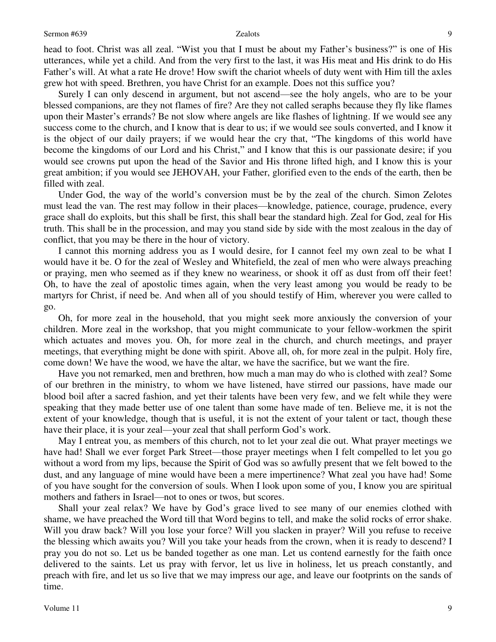head to foot. Christ was all zeal. "Wist you that I must be about my Father's business?" is one of His utterances, while yet a child. And from the very first to the last, it was His meat and His drink to do His Father's will. At what a rate He drove! How swift the chariot wheels of duty went with Him till the axles grew hot with speed. Brethren, you have Christ for an example. Does not this suffice you?

 Surely I can only descend in argument, but not ascend—see the holy angels, who are to be your blessed companions, are they not flames of fire? Are they not called seraphs because they fly like flames upon their Master's errands? Be not slow where angels are like flashes of lightning. If we would see any success come to the church, and I know that is dear to us; if we would see souls converted, and I know it is the object of our daily prayers; if we would hear the cry that, "The kingdoms of this world have become the kingdoms of our Lord and his Christ," and I know that this is our passionate desire; if you would see crowns put upon the head of the Savior and His throne lifted high, and I know this is your great ambition; if you would see JEHOVAH, your Father, glorified even to the ends of the earth, then be filled with zeal.

 Under God, the way of the world's conversion must be by the zeal of the church. Simon Zelotes must lead the van. The rest may follow in their places—knowledge, patience, courage, prudence, every grace shall do exploits, but this shall be first, this shall bear the standard high. Zeal for God, zeal for His truth. This shall be in the procession, and may you stand side by side with the most zealous in the day of conflict, that you may be there in the hour of victory.

 I cannot this morning address you as I would desire, for I cannot feel my own zeal to be what I would have it be. O for the zeal of Wesley and Whitefield, the zeal of men who were always preaching or praying, men who seemed as if they knew no weariness, or shook it off as dust from off their feet! Oh, to have the zeal of apostolic times again, when the very least among you would be ready to be martyrs for Christ, if need be. And when all of you should testify of Him, wherever you were called to go.

Oh, for more zeal in the household, that you might seek more anxiously the conversion of your children. More zeal in the workshop, that you might communicate to your fellow-workmen the spirit which actuates and moves you. Oh, for more zeal in the church, and church meetings, and prayer meetings, that everything might be done with spirit. Above all, oh, for more zeal in the pulpit. Holy fire, come down! We have the wood, we have the altar, we have the sacrifice, but we want the fire.

 Have you not remarked, men and brethren, how much a man may do who is clothed with zeal? Some of our brethren in the ministry, to whom we have listened, have stirred our passions, have made our blood boil after a sacred fashion, and yet their talents have been very few, and we felt while they were speaking that they made better use of one talent than some have made of ten. Believe me, it is not the extent of your knowledge, though that is useful, it is not the extent of your talent or tact, though these have their place, it is your zeal—your zeal that shall perform God's work.

 May I entreat you, as members of this church, not to let your zeal die out. What prayer meetings we have had! Shall we ever forget Park Street—those prayer meetings when I felt compelled to let you go without a word from my lips, because the Spirit of God was so awfully present that we felt bowed to the dust, and any language of mine would have been a mere impertinence? What zeal you have had! Some of you have sought for the conversion of souls. When I look upon some of you, I know you are spiritual mothers and fathers in Israel—not to ones or twos, but scores.

 Shall your zeal relax? We have by God's grace lived to see many of our enemies clothed with shame, we have preached the Word till that Word begins to tell, and make the solid rocks of error shake. Will you draw back? Will you lose your force? Will you slacken in prayer? Will you refuse to receive the blessing which awaits you? Will you take your heads from the crown, when it is ready to descend? I pray you do not so. Let us be banded together as one man. Let us contend earnestly for the faith once delivered to the saints. Let us pray with fervor, let us live in holiness, let us preach constantly, and preach with fire, and let us so live that we may impress our age, and leave our footprints on the sands of time.